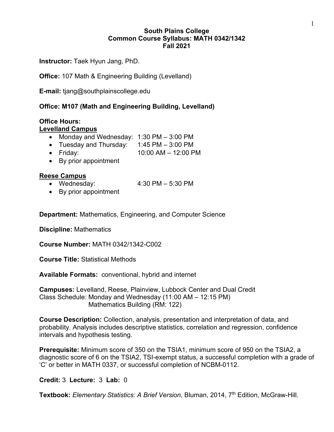## **South Plains College Common Course Syllabus: MATH 0342/1342 Fall 2021**

**Instructor:** Taek Hyun Jang, PhD.

**Office:** 107 Math & Engineering Building (Levelland)

**E-mail:** tjang@southplainscollege.edu

# **Office: M107 (Math and Engineering Building, Levelland)**

## **Office Hours:**

#### **Levelland Campus**

- Monday and Wednesday: 1:30 PM 3:00 PM
- Tuesday and Thursday: 1:45 PM 3:00 PM
- Friday: 10:00 AM 12:00 PM
- By prior appointment

#### **Reese Campus**

- Wednesday: 4:30 PM 5:30 PM
- By prior appointment

**Department:** Mathematics, Engineering, and Computer Science

**Discipline:** Mathematics

**Course Number:** MATH 0342/1342-C002

**Course Title:** Statistical Methods

**Available Formats:** conventional, hybrid and internet

**Campuses:** Levelland, Reese, Plainview, Lubbock Center and Dual Credit Class Schedule: Monday and Wednesday (11:00 AM – 12:15 PM) Mathematics Building (RM: 122)

**Course Description:** Collection, analysis, presentation and interpretation of data, and probability. Analysis includes descriptive statistics, correlation and regression, confidence intervals and hypothesis testing.

**Prerequisite:** Minimum score of 350 on the TSIA1, minimum score of 950 on the TSIA2, a diagnostic score of 6 on the TSIA2, TSI-exempt status, a successful completion with a grade of 'C' or better in MATH 0337, or successful completion of NCBM-0112.

#### **Credit:** 3 **Lecture:** 3 **Lab:** 0

**Textbook:** *Elementary Statistics: A Brief Version*, Bluman, 2014, 7<sup>th</sup> Edition, McGraw-Hill.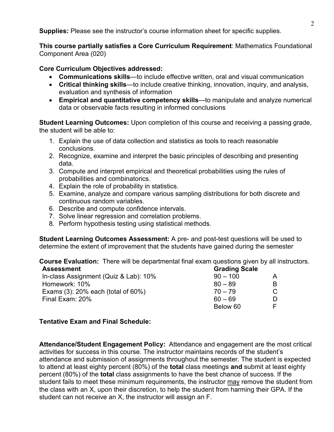**Supplies:** Please see the instructor's course information sheet for specific supplies.

**This course partially satisfies a Core Curriculum Requirement**: Mathematics Foundational Component Area (020)

#### **Core Curriculum Objectives addressed:**

- **Communications skills**—to include effective written, oral and visual communication
- **Critical thinking skills**—to include creative thinking, innovation, inquiry, and analysis, evaluation and synthesis of information
- **Empirical and quantitative competency skills**—to manipulate and analyze numerical data or observable facts resulting in informed conclusions

**Student Learning Outcomes:** Upon completion of this course and receiving a passing grade, the student will be able to:

- 1. Explain the use of data collection and statistics as tools to reach reasonable conclusions.
- 2. Recognize, examine and interpret the basic principles of describing and presenting data.
- 3. Compute and interpret empirical and theoretical probabilities using the rules of probabilities and combinatorics.
- 4. Explain the role of probability in statistics.
- 5. Examine, analyze and compare various sampling distributions for both discrete and continuous random variables.
- 6. Describe and compute confidence intervals.
- 7. Solve linear regression and correlation problems.
- 8. Perform hypothesis testing using statistical methods.

**Student Learning Outcomes Assessment:** A pre- and post-test questions will be used to determine the extent of improvement that the students have gained during the semester

**Course Evaluation:** There will be departmental final exam questions given by all instructors. **Assessment Grading Scale**

| In-class Assignment (Quiz & Lab): 10% | $90 - 100$ |  |  |
|---------------------------------------|------------|--|--|
| Homework: 10%                         | $80 - 89$  |  |  |
| Exams $(3)$ : 20% each (total of 60%) | $70 - 79$  |  |  |
| Final Exam: 20%                       | 60 – 69    |  |  |
|                                       | Below 60   |  |  |
|                                       |            |  |  |

# **Tentative Exam and Final Schedule:**

**Attendance/Student Engagement Policy:** Attendance and engagement are the most critical activities for success in this course. The instructor maintains records of the student's attendance and submission of assignments throughout the semester. The student is expected to attend at least eighty percent (80%) of the **total** class meetings **and** submit at least eighty percent (80%) of the **total** class assignments to have the best chance of success. If the student fails to meet these minimum requirements, the instructor may remove the student from the class with an X, upon their discretion, to help the student from harming their GPA. If the student can not receive an X, the instructor will assign an F.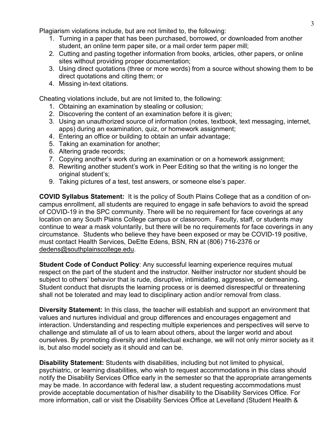Plagiarism violations include, but are not limited to, the following:

- 1. Turning in a paper that has been purchased, borrowed, or downloaded from another student, an online term paper site, or a mail order term paper mill;
- 2. Cutting and pasting together information from books, articles, other papers, or online sites without providing proper documentation;
- 3. Using direct quotations (three or more words) from a source without showing them to be direct quotations and citing them; or
- 4. Missing in-text citations.

Cheating violations include, but are not limited to, the following:

- 1. Obtaining an examination by stealing or collusion;
- 2. Discovering the content of an examination before it is given;
- 3. Using an unauthorized source of information (notes, textbook, text messaging, internet, apps) during an examination, quiz, or homework assignment;
- 4. Entering an office or building to obtain an unfair advantage;
- 5. Taking an examination for another;
- 6. Altering grade records;
- 7. Copying another's work during an examination or on a homework assignment;
- 8. Rewriting another student's work in Peer Editing so that the writing is no longer the original student's;
- 9. Taking pictures of a test, test answers, or someone else's paper.

**COVID Syllabus Statement:** It is the policy of South Plains College that as a condition of oncampus enrollment, all students are required to engage in safe behaviors to avoid the spread of COVID-19 in the SPC community. There will be no requirement for face coverings at any location on any South Plains College campus or classroom. Faculty, staff, or students may continue to wear a mask voluntarily, but there will be no requirements for face coverings in any circumstance. Students who believe they have been exposed or may be COVID-19 positive, must contact Health Services, DeEtte Edens, BSN, RN at (806) 716-2376 or [dedens@southplainscollege.edu.](mailto:dedens@southplainscollege.edu)

**Student Code of Conduct Policy:** Any successful learning experience requires mutual respect on the part of the student and the instructor. Neither instructor nor student should be subject to others' behavior that is rude, disruptive, intimidating, aggressive, or demeaning**.**  Student conduct that disrupts the learning process or is deemed disrespectful or threatening shall not be tolerated and may lead to disciplinary action and/or removal from class.

**Diversity Statement:** In this class, the teacher will establish and support an environment that values and nurtures individual and group differences and encourages engagement and interaction. Understanding and respecting multiple experiences and perspectives will serve to challenge and stimulate all of us to learn about others, about the larger world and about ourselves. By promoting diversity and intellectual exchange, we will not only mirror society as it is, but also model society as it should and can be.

**Disability Statement:** Students with disabilities, including but not limited to physical, psychiatric, or learning disabilities, who wish to request accommodations in this class should notify the Disability Services Office early in the semester so that the appropriate arrangements may be made. In accordance with federal law, a student requesting accommodations must provide acceptable documentation of his/her disability to the Disability Services Office. For more information, call or visit the Disability Services Office at Levelland (Student Health &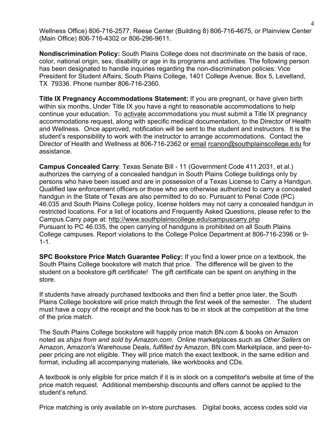Wellness Office) 806-716-2577, Reese Center (Building 8) 806-716-4675, or Plainview Center (Main Office) 806-716-4302 or 806-296-9611.

**Nondiscrimination Policy:** South Plains College does not discriminate on the basis of race, color, national origin, sex, disability or age in its programs and activities. The following person has been designated to handle inquiries regarding the non-discrimination policies: Vice President for Student Affairs, South Plains College, 1401 College Avenue, Box 5, Levelland, TX 79336. Phone number 806-716-2360.

**Title IX Pregnancy Accommodations Statement:** If you are pregnant, or have given birth within six months, Under Title IX you have a right to reasonable accommodations to help continue your education. To [activate](http://www.southplainscollege.edu/employees/manualshandbooks/facultyhandbook/sec4.php) accommodations you must submit a Title IX pregnancy accommodations request, along with specific medical documentation, to the Director of Health and Wellness. Once approved, notification will be sent to the student and instructors. It is the student's responsibility to work with the instructor to arrange accommodations. Contact the Director of Health and Wellness at 806-716-2362 or [email](http://www.southplainscollege.edu/employees/manualshandbooks/facultyhandbook/sec4.php) [rcanon@southplainscollege.edu](mailto:rcanon@southplainscollege.edu) for assistance.

**Campus Concealed Carry**: Texas Senate Bill - 11 (Government Code 411.2031, et al.) authorizes the carrying of a concealed handgun in South Plains College buildings only by persons who have been issued and are in possession of a Texas License to Carry a Handgun. Qualified law enforcement officers or those who are otherwise authorized to carry a concealed handgun in the State of Texas are also permitted to do so. Pursuant to Penal Code (PC) 46.035 and South Plains College policy, license holders may not carry a concealed handgun in restricted locations. For a list of locations and Frequently Asked Questions, please refer to the Campus Carry page at: <http://www.southplainscollege.edu/campuscarry.php> Pursuant to PC 46.035, the open carrying of handguns is prohibited on all South Plains College campuses. Report violations to the College Police Department at 806-716-2396 or 9- 1-1.

**SPC Bookstore Price Match Guarantee Policy:** If you find a lower price on a textbook, the South Plains College bookstore will match that price. The difference will be given to the student on a bookstore gift certificate! The gift certificate can be spent on anything in the store.

If students have already purchased textbooks and then find a better price later, the South Plains College bookstore will price match through the first week of the semester. The student must have a copy of the receipt and the book has to be in stock at the competition at the time of the price match.

The South Plains College bookstore will happily price match BN.com & books on Amazon noted as *ships from and sold by Amazon.com*. Online marketplaces such as *Other Sellers* on Amazon, Amazon's Warehouse Deals, *fulfilled by* Amazon, BN.com Marketplace, and peer-topeer pricing are not eligible. They will price match the exact textbook, in the same edition and format, including all accompanying materials, like workbooks and CDs.

A textbook is only eligible for price match if it is in stock on a competitor's website at time of the price match request. Additional membership discounts and offers cannot be applied to the student's refund.

Price matching is only available on in-store purchases. Digital books, access codes sold via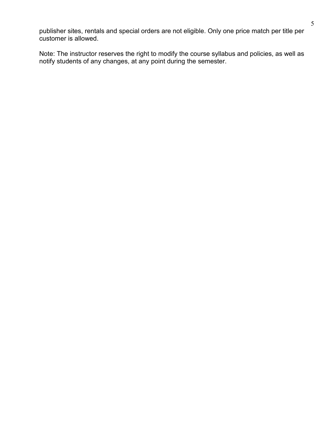publisher sites, rentals and special orders are not eligible. Only one price match per title per customer is allowed.

Note: The instructor reserves the right to modify the course syllabus and policies, as well as notify students of any changes, at any point during the semester.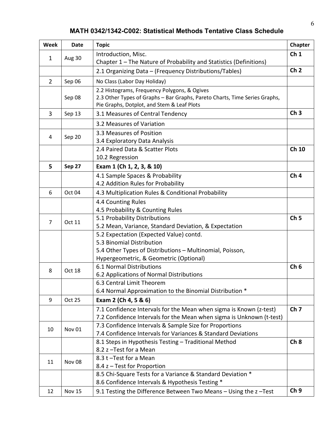# **MATH 0342/1342-C002: Statistical Methods Tentative Class Schedule**

| <b>Week</b>    | <b>Date</b>       | <b>Topic</b>                                                                                                  | Chapter         |
|----------------|-------------------|---------------------------------------------------------------------------------------------------------------|-----------------|
| $\mathbf 1$    | Aug 30            | Introduction, Misc.                                                                                           | Ch <sub>1</sub> |
|                |                   | Chapter 1 – The Nature of Probability and Statistics (Definitions)                                            |                 |
|                |                   | 2.1 Organizing Data - (Frequency Distributions/Tables)                                                        | Ch <sub>2</sub> |
| $\overline{2}$ | Sep 06            | No Class (Labor Day Holiday)                                                                                  |                 |
|                |                   | 2.2 Histograms, Frequency Polygons, & Ogives                                                                  |                 |
|                | Sep 08            | 2.3 Other Types of Graphs - Bar Graphs, Pareto Charts, Time Series Graphs,                                    |                 |
|                |                   | Pie Graphs, Dotplot, and Stem & Leaf Plots                                                                    |                 |
| 3              | Sep 13            | 3.1 Measures of Central Tendency                                                                              | Ch <sub>3</sub> |
|                |                   | 3.2 Measures of Variation                                                                                     |                 |
|                | Sep 20            | 3.3 Measures of Position                                                                                      |                 |
| 4              |                   | 3.4 Exploratory Data Analysis                                                                                 |                 |
|                |                   | 2.4 Paired Data & Scatter Plots                                                                               | Ch 10           |
|                |                   | 10.2 Regression                                                                                               |                 |
| 5              | Sep 27            | Exam 1 (Ch 1, 2, 3, & 10)                                                                                     |                 |
|                |                   | 4.1 Sample Spaces & Probability                                                                               | Ch <sub>4</sub> |
|                |                   | 4.2 Addition Rules for Probability                                                                            |                 |
| 6              | Oct 04            | 4.3 Multiplication Rules & Conditional Probability                                                            |                 |
|                |                   | 4.4 Counting Rules                                                                                            |                 |
|                |                   | 4.5 Probability & Counting Rules                                                                              |                 |
| $\overline{7}$ | Oct 11            | 5.1 Probability Distributions                                                                                 | Ch <sub>5</sub> |
|                |                   | 5.2 Mean, Variance, Standard Deviation, & Expectation                                                         |                 |
|                |                   | 5.2 Expectation (Expected Value) contd.                                                                       |                 |
|                |                   | 5.3 Binomial Distribution                                                                                     |                 |
|                |                   | 5.4 Other Types of Distributions - Multinomial, Poisson,                                                      |                 |
|                |                   | Hypergeometric, & Geometric (Optional)                                                                        |                 |
| 8              | Oct 18            | 6.1 Normal Distributions                                                                                      | Ch <sub>6</sub> |
|                |                   | 6.2 Applications of Normal Distributions                                                                      |                 |
|                |                   | 6.3 Central Limit Theorem                                                                                     |                 |
|                |                   | 6.4 Normal Approximation to the Binomial Distribution *                                                       |                 |
| 9              | <b>Oct 25</b>     | Exam 2 (Ch 4, 5 & 6)                                                                                          |                 |
|                |                   | 7.1 Confidence Intervals for the Mean when sigma is Known (z-test)                                            | Ch <sub>7</sub> |
|                |                   | 7.2 Confidence Intervals for the Mean when sigma is Unknown (t-test)                                          |                 |
| 10             | Nov <sub>01</sub> | 7.3 Confidence Intervals & Sample Size for Proportions                                                        |                 |
|                |                   | 7.4 Confidence Intervals for Variances & Standard Deviations                                                  |                 |
|                |                   | 8.1 Steps in Hypothesis Testing - Traditional Method                                                          | Ch <sub>8</sub> |
|                |                   | 8.2 z - Test for a Mean                                                                                       |                 |
| 11             | Nov <sub>08</sub> | 8.3 t-Test for a Mean                                                                                         |                 |
|                |                   | 8.4 z - Test for Proportion                                                                                   |                 |
|                |                   | 8.5 Chi-Square Tests for a Variance & Standard Deviation *<br>8.6 Confidence Intervals & Hypothesis Testing * |                 |
|                |                   |                                                                                                               | Ch <sub>9</sub> |
| 12             | <b>Nov 15</b>     | 9.1 Testing the Difference Between Two Means - Using the z-Test                                               |                 |